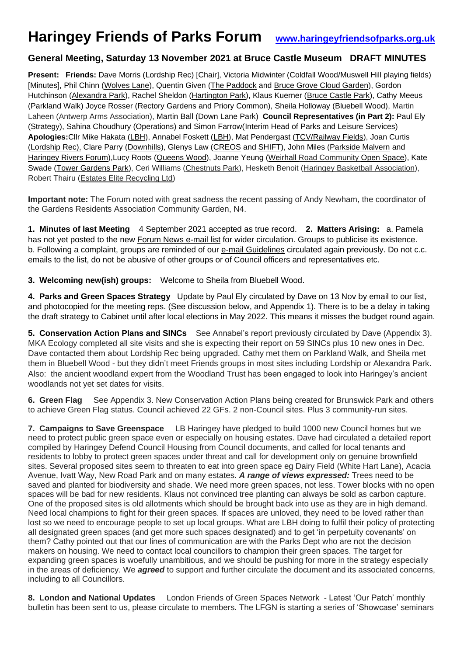# **Haringey Friends of Parks Forum [www.haringeyfriendsofparks.org.uk](http://www.haringeyfriendsofparks.org.uk/)**

## **General Meeting, Saturday 13 November 2021 at Bruce Castle Museum DRAFT MINUTES**

**Present: Friends:** Dave Morris (Lordship Rec) [Chair], Victoria Midwinter (Coldfall Wood/Muswell Hill playing fields) [Minutes], Phil Chinn (Wolves Lane), Quentin Given (The Paddock and Bruce Grove Cloud Garden), Gordon Hutchinson (Alexandra Park), Rachel Sheldon (Hartington Park), Klaus Kuerner (Bruce Castle Park), Cathy Meeus (Parkland Walk) Joyce Rosser (Rectory Gardens and Priory Common), Sheila Holloway (Bluebell Wood), Martin Laheen (Antwerp Arms Association), Martin Ball (Down Lane Park) **Council Representatives (in Part 2):** Paul Ely (Strategy), Sahina Choudhury (Operations) and Simon Farrow(Interim Head of Parks and Leisure Services) **Apologies:**Cllr Mike Hakata (LBH), Annabel Foskett (LBH), Mat Pendergast (TCV/Railway Fields), Joan Curtis (Lordship Rec), Clare Parry (Downhills), Glenys Law (CREOS and SHIFT), John Miles (Parkside Malvern and Haringey Rivers Forum),Lucy Roots (Queens Wood), Joanne Yeung (Weirhall Road Community Open Space), Kate Swade (Tower Gardens Park), Ceri Williams (Chestnuts Park), Hesketh Benoit (Haringey Basketball Association), Robert Thairu (Estates Elite Recycling Ltd)

**Important note:** The Forum noted with great sadness the recent passing of Andy Newham, the coordinator of the Gardens Residents Association Community Garden, N4.

**1. Minutes of last Meeting** 4 September 2021 accepted as true record. **2. Matters Arising:** a. Pamela has not yet posted to the new Forum News e-mail list for wider circulation. Groups to publicise its existence. b. Following a complaint, groups are reminded of our e-mail Guidelines circulated again previously. Do not c.c. emails to the list, do not be abusive of other groups or of Council officers and representatives etc.

**3. Welcoming new(ish) groups:** Welcome to Sheila from Bluebell Wood.

**4. Parks and Green Spaces Strategy** Update by Paul Ely circulated by Dave on 13 Nov by email to our list, and photocopied for the meeting reps. (See discussion below, and Appendix 1). There is to be a delay in taking the draft strategy to Cabinet until after local elections in May 2022. This means it misses the budget round again.

**5. Conservation Action Plans and SINCs** See Annabel's report previously circulated by Dave (Appendix 3). MKA Ecology completed all site visits and she is expecting their report on 59 SINCs plus 10 new ones in Dec. Dave contacted them about Lordship Rec being upgraded. Cathy met them on Parkland Walk, and Sheila met them in Bluebell Wood - but they didn't meet Friends groups in most sites including Lordship or Alexandra Park. Also: the ancient woodland expert from the Woodland Trust has been engaged to look into Haringey's ancient woodlands not yet set dates for visits.

**6. Green Flag** See Appendix 3. New Conservation Action Plans being created for Brunswick Park and others to achieve Green Flag status. Council achieved 22 GFs. 2 non-Council sites. Plus 3 community-run sites.

**7. Campaigns to Save Greenspace** LB Haringey have pledged to build 1000 new Council homes but we need to protect public green space even or especially on housing estates. Dave had circulated a detailed report compiled by Haringey Defend Council Housing from Council documents, and called for local tenants and residents to lobby to protect green spaces under threat and call for development only on genuine brownfield sites. Several proposed sites seem to threaten to eat into green space eg Dairy Field (White Hart Lane), Acacia Avenue, Ivatt Way, New Road Park and on many estates. *A range of views expressed:* Trees need to be saved and planted for biodiversity and shade. We need more green spaces, not less. Tower blocks with no open spaces will be bad for new residents. Klaus not convinced tree planting can always be sold as carbon capture. One of the proposed sites is old allotments which should be brought back into use as they are in high demand. Need local champions to fight for their green spaces. If spaces are unloved, they need to be loved rather than lost so we need to encourage people to set up local groups. What are LBH doing to fulfil their policy of protecting all designated green spaces (and get more such spaces designated) and to get 'in perpetuity covenants' on them? Cathy pointed out that our lines of communication are with the Parks Dept who are not the decision makers on housing. We need to contact local councillors to champion their green spaces. The target for expanding green spaces is woefully unambitious, and we should be pushing for more in the strategy especially in the areas of deficiency. We *agreed* to support and further circulate the document and its associated concerns, including to all Councillors.

**8. London and National Updates** London Friends of Green Spaces Network - Latest 'Our Patch' monthly bulletin has been sent to us, please circulate to members. The LFGN is starting a series of 'Showcase' seminars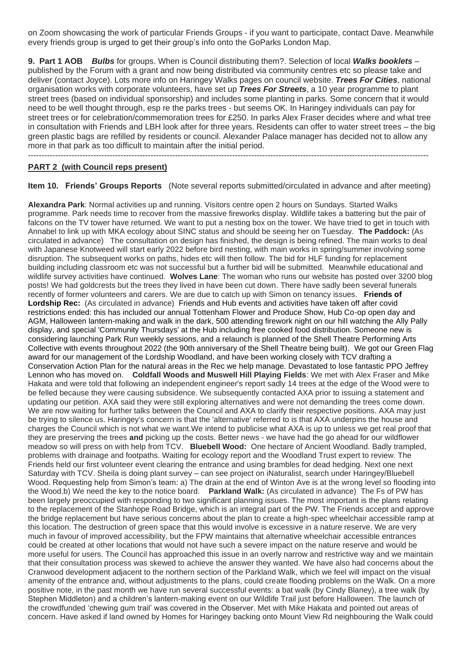on Zoom showcasing the work of particular Friends Groups - if you want to participate, contact Dave. Meanwhile every friends group is urged to get their group's info onto the GoParks London Map.

**9. Part 1 AOB** *Bulbs* for groups. When is Council distributing them?. Selection of local *Walks booklets* – published by the Forum with a grant and now being distributed via community centres etc so please take and deliver (contact Joyce). Lots more info on Haringey Walks pages on council website. *Trees For Cities*, national organisation works with corporate volunteers, have set up *Trees For Streets*, a 10 year programme to plant street trees (based on individual sponsorship) and includes some planting in parks. Some concern that it would need to be well thought through, esp re the parks trees - but seems OK. In Haringey individuals can pay for street trees or for celebration/commemoration trees for £250. In parks Alex Fraser decides where and what tree in consultation with Friends and LBH look after for three years. Residents can offer to water street trees – the big green plastic bags are refilled by residents or council. Alexander Palace manager has decided not to allow any more in that park as too difficult to maintain after the initial period.

---------------------------------------------------------------------------------------------------------------------------------------------------

#### **PART 2 (with Council reps present)**

**Item 10. Friends' Groups Reports** (Note several reports submitted/circulated in advance and after meeting)

**Alexandra Park**: Normal activities up and running. Visitors centre open 2 hours on Sundays. Started Walks programme. Park needs time to recover from the massive fireworks display. Wildlife takes a battering but the pair of falcons on the TV tower have returned. We want to put a nesting box on the tower. We have tried to get in touch with Annabel to link up with MKA ecology about SINC status and should be seeing her on Tuesday. **The Paddock:** (As circulated in advance) The consultation on design has finished, the design is being refined. The main works to deal with Japanese Knotweed will start early 2022 before bird nesting, with main works in spring/summer involving some disruption. The subsequent works on paths, hides etc will then follow. The bid for HLF funding for replacement building including classroom etc was not successful but a further bid will be submitted. Meanwhile educational and wildlife survey activities have continued. **Wolves Lane**: The woman who runs our website has posted over 3200 blog posts! We had goldcrests but the trees they lived in have been cut down. There have sadly been several funerals recently of former volunteers and carers. We are due to catch up with Simon on tenancy issues. **Friends of Lordship Rec:** (As circulated in advance) Friends and Hub events and activities have taken off after covid restrictions ended: this has included our annual Tottenham Flower and Produce Show, Hub Co-op open day and AGM, Halloween lantern-making and walk in the dark, 500 attending firework night on our hill watching the Ally Pally display, and special 'Community Thursdays' at the Hub including free cooked food distribution. Someone new is considering launching Park Run weekly sessions, and a relaunch is planned of the Shell Theatre Performing Arts Collective with events throughout 2022 (the 90th anniversary of the Shell Theatre being built). We got our Green Flag award for our management of the Lordship Woodland, and have been working closely with TCV drafting a Conservation Action Plan for the natural areas in the Rec we help manage. Devastated to lose fantastic PPO Jeffrey Lennon who has moved on. **Coldfall Woods and Muswell Hill Playing Fields**: We met with Alex Fraser and Mike Hakata and were told that following an independent engineer's report sadly 14 trees at the edge of the Wood were to be felled because they were causing subsidence. We subsequently contacted AXA prior to issuing a statement and updating our petition. AXA said they were still exploring alternatives and were not demanding the trees come down. We are now waiting for further talks between the Council and AXA to clarify their respective positions. AXA may just be trying to silence us. Haringey's concern is that the 'alternative' referred to is that AXA underpins the house and charges the Council which is not what we want.We intend to publicise what AXA is up to unless we get real proof that they are preserving the trees **and** picking up the costs. Better news - we have had the go ahead for our wildflower meadow so will press on with help from TCV. **Bluebell Wood:** One hectare of Ancient Woodland. Badly trampled, problems with drainage and footpaths. Waiting for ecology report and the Woodland Trust expert to review. The Friends held our first volunteer event clearing the entrance and using brambles for dead hedging. Next one next Saturday with TCV. Sheila is doing plant survey – can see project on iNaturalist, search under Haringey/Bluebell Wood. Requesting help from Simon's team: a) The drain at the end of Winton Ave is at the wrong level so flooding into the Wood.b) We need the key to the notice board. **Parkland Walk:** (As circulated in advance) The Fs of PW has been largely preoccupied with responding to two significant planning issues. The most important is the plans relating to the replacement of the Stanhope Road Bridge, which is an integral part of the PW. The Friends accept and approve the bridge replacement but have serious concerns about the plan to create a high-spec wheelchair accessible ramp at this location. The destruction of green space that this would involve is excessive in a nature reserve. We are very much in favour of improved accessibility, but the FPW maintains that alternative wheelchair accessible entrances could be created at other locations that would not have such a severe impact on the nature reserve and would be more useful for users. The Council has approached this issue in an overly narrow and restrictive way and we maintain that their consultation process was skewed to achieve the answer they wanted. We have also had concerns about the Cranwood development adjacent to the northern section of the Parkland Walk, which we feel will impact on the visual amenity of the entrance and, without adjustments to the plans, could create flooding problems on the Walk. On a more positive note, in the past month we have run several successful events: a bat walk (by Cindy Blaney), a tree walk (by Stephen Middleton) and a children's lantern-making event on our Wildlife Trail just before Halloween. The launch of the crowdfunded 'chewing gum trail' was covered in the Observer. Met with Mike Hakata and pointed out areas of concern. Have asked if land owned by Homes for Haringey backing onto Mount View Rd neighbouring the Walk could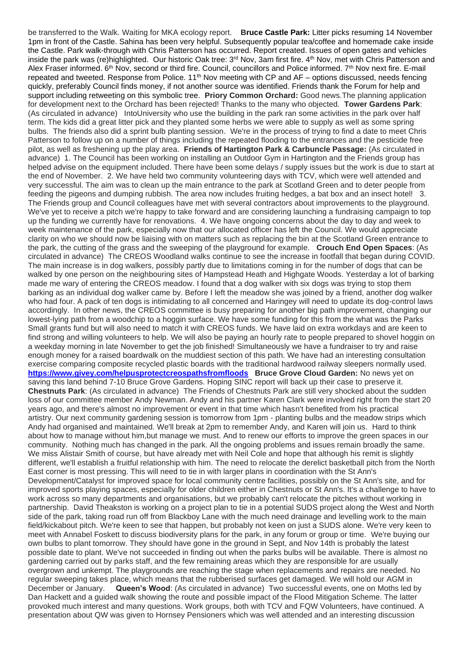be transferred to the Walk. Waiting for MKA ecology report. **Bruce Castle Park:** Litter picks resuming 14 November 1pm in front of the Castle. Sahina has been very helpful. Subsequently popular tea/coffee and homemade cake inside the Castle. Park walk-through with Chris Patterson has occurred. Report created. Issues of open gates and vehicles inside the park was (re)highlighted. Our historic Oak tree: 3<sup>rd</sup> Nov, 3am first fire. 4<sup>th</sup> Nov, met with Chris Patterson and Alex Fraser informed. 6th Nov, second or third fire. Council, councillors and Police informed. 7th Nov next fire. E-mail repeated and tweeted. Response from Police. 11<sup>th</sup> Nov meeting with CP and AF – options discussed, needs fencing quickly, preferably Council finds money, if not another source was identified. Friends thank the Forum for help and support including retweeting on this symbolic tree. **Priory Common Orchard:** Good news.The planning application for development next to the Orchard has been rejected! Thanks to the many who objected. **Tower Gardens Park**: (As circulated in advance) IntoUniversity who use the building in the park ran some activities in the park over half term. The kids did a great litter pick and they planted some herbs we were able to supply as well as some spring bulbs. The friends also did a sprint bulb planting session. We're in the process of trying to find a date to meet Chris Patterson to follow up on a number of things including the repeated flooding to the entrances and the pesticide free pilot, as well as freshening up the play area. **Friends of Hartington Park & Carbuncle Passage:** (As circulated in advance) 1. The Council has been working on installing an Outdoor Gym in Hartington and the Friends group has helped advise on the equipment included. There have been some delays / supply issues but the work is due to start at the end of November. 2. We have held two community volunteering days with TCV, which were well attended and very successful. The aim was to clean up the main entrance to the park at Scotland Green and to deter people from feeding the pigeons and dumping rubbish. The area now includes fruiting hedges, a bat box and an insect hotel! 3. The Friends group and Council colleagues have met with several contractors about improvements to the playground. We've yet to receive a pitch we're happy to take forward and are considering launching a fundraising campaign to top up the funding we currently have for renovations. 4. We have ongoing concerns about the day to day and week to week maintenance of the park, especially now that our allocated officer has left the Council. We would appreciate clarity on who we should now be liaising with on matters such as replacing the bin at the Scotland Green entrance to the park, the cutting of the grass and the sweeping of the playground for example. **Crouch End Open Spaces**: (As circulated in advance) The CREOS Woodland walks continue to see the increase in footfall that began during COVID. The main increase is in dog walkers, possibly partly due to limitations coming in for the number of dogs that can be walked by one person on the neighbouring sites of Hampstead Heath and Highgate Woods. Yesterday a lot of barking made me wary of entering the CREOS meadow. I found that a dog walker with six dogs was trying to stop them barking as an individual dog walker came by. Before I left the meadow she was joined by a friend, another dog walker who had four. A pack of ten dogs is intimidating to all concerned and Haringey will need to update its dog-control laws accordingly. In other news, the CREOS committee is busy preparing for another big path improvement, changing our lowest-lying path from a woodchip to a hoggin surface. We have some funding for this from the what was the Parks Small grants fund but will also need to match it with CREOS funds. We have laid on extra workdays and are keen to find strong and willing volunteers to help. We will also be paying an hourly rate to people prepared to shovel hoggin on a weekday morning in late November to get the job finished! Simultaneously we have a fundraiser to try and raise enough money for a raised boardwalk on the muddiest section of this path. We have had an interesting consultation exercise comparing composite recycled plastic boards with the traditional hardwood railway sleepers normally used. **<https://www.givey.com/helpusprotectcreospathsfromfloods> Bruce Grove Cloud Garden:** No news yet on saving this land behind 7-10 Bruce Grove Gardens. Hoping SINC report will back up their case to preserve it. **Chestnuts Park**: (As circulated in advance) The Friends of Chestnuts Park are still very shocked about the sudden loss of our committee member Andy Newman. Andy and his partner Karen Clark were involved right from the start 20 years ago, and there's almost no improvement or event in that time which hasn't benefited from his practical artistry. Our next community gardening session is tomorrow from 1pm - planting bulbs and the meadow strips which Andy had organised and maintained. We'll break at 2pm to remember Andy, and Karen will join us. Hard to think about how to manage without him,but manage we must. And to renew our efforts to improve the green spaces in our community. Nothing much has changed in the park. All the ongoing problems and issues remain broadly the same. We miss Alistair Smith of course, but have already met with Neil Cole and hope that although his remit is slightly different, we'll establish a fruitful relationship with him. The need to relocate the derelict basketball pitch from the North East corner is most pressing. This will need to tie in with larger plans in coordination with the St Ann's Development/Catalyst for improved space for local community centre facilities, possibly on the St Ann's site, and for improved sports playing spaces, especially for older children either in Chestnuts or St Ann's. It's a challenge to have to work across so many departments and organisations, but we probably can't relocate the pitches without working in partnership. David Theakston is working on a project plan to tie in a potential SUDS project along the West and North side of the park, taking road run off from Blackboy Lane with the much need drainage and levelling work to the main field/kickabout pitch. We're keen to see that happen, but probably not keen on just a SUDS alone. We're very keen to meet with Annabel Foskett to discuss biodiversity plans for the park, in any forum or group or time. We're buying our own bulbs to plant tomorrow. They should have gone in the ground in Sept, and Nov 14th is probably the latest possible date to plant. We've not succeeded in finding out when the parks bulbs will be available. There is almost no gardening carried out by parks staff, and the few remaining areas which they are responsible for are usually overgrown and unkempt. The playgrounds are reaching the stage when replacements and repairs are needed. No regular sweeping takes place, which means that the rubberised surfaces get damaged. We will hold our AGM in December or January. **Queen's Wood**: (As circulated in advance) Two successful events, one on Moths led by Dan Hackett and a guided walk showing the route and possible impact of the Flood Mitigation Scheme. The latter provoked much interest and many questions. Work groups, both with TCV and FQW Volunteers, have continued. A presentation about QW was given to Hornsey Pensioners which was well attended and an interesting discussion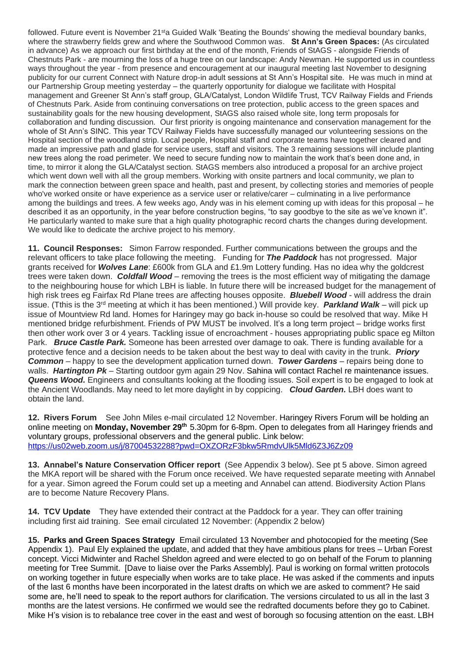followed. Future event is November 21<sup>st</sup>a Guided Walk 'Beating the Bounds' showing the medieval boundary banks, where the strawberry fields grew and where the Southwood Common was. **St Ann's Green Spaces:** (As circulated in advance) As we approach our first birthday at the end of the month, Friends of StAGS - alongside Friends of Chestnuts Park - are mourning the loss of a huge tree on our landscape: Andy Newman. He supported us in countless ways throughout the year - from presence and encouragement at our inaugural meeting last November to designing publicity for our current Connect with Nature drop-in adult sessions at St Ann's Hospital site. He was much in mind at our Partnership Group meeting yesterday – the quarterly opportunity for dialogue we facilitate with Hospital management and Greener St Ann's staff group, GLA/Catalyst, London Wildlife Trust, TCV Railway Fields and Friends of Chestnuts Park. Aside from continuing conversations on tree protection, public access to the green spaces and sustainability goals for the new housing development, StAGS also raised whole site, long term proposals for collaboration and funding discussion. Our first priority is ongoing maintenance and conservation management for the whole of St Ann's SINC. This year TCV Railway Fields have successfully managed our volunteering sessions on the Hospital section of the woodland strip. Local people, Hospital staff and corporate teams have together cleared and made an impressive path and glade for service users, staff and visitors. The 3 remaining sessions will include planting new trees along the road perimeter. We need to secure funding now to maintain the work that's been done and, in time, to mirror it along the GLA/Catalyst section. StAGS members also introduced a proposal for an archive project which went down well with all the group members. Working with onsite partners and local community, we plan to mark the connection between green space and health, past and present, by collecting stories and memories of people who've worked onsite or have experience as a service user or relative/carer – culminating in a live performance among the buildings and trees. A few weeks ago, Andy was in his element coming up with ideas for this proposal – he described it as an opportunity, in the year before construction begins, "to say goodbye to the site as we've known it". He particularly wanted to make sure that a high quality photographic record charts the changes during development. We would like to dedicate the archive project to his memory.

**11. Council Responses:** Simon Farrow responded. Further communications between the groups and the relevant officers to take place following the meeting. Funding for *The Paddock* has not progressed. Major grants received for *Wolves Lane*: £600k from GLA and £1.9m Lottery funding. Has no idea why the goldcrest trees were taken down. *Coldfall Wood* – removing the trees is the most efficient way of mitigating the damage to the neighbouring house for which LBH is liable. In future there will be increased budget for the management of high risk trees eg Fairfax Rd Plane trees are affecting houses opposite. *Bluebell Wood* - will address the drain issue. (Tthis is the 3rd meeting at which it has been mentioned.) Will provide key. *Parkland Walk* – will pick up issue of Mountview Rd land. Homes for Haringey may go back in-house so could be resolved that way. Mike H mentioned bridge refurbishment. Friends of PW MUST be involved. It's a long term project – bridge works first then other work over 3 or 4 years. Tackling issue of encroachment - houses appropriating public space eg Milton Park. *Bruce Castle Park.* Someone has been arrested over damage to oak. There is funding available for a protective fence and a decision needs to be taken about the best way to deal with cavity in the trunk. *Priory Common* – happy to see the development application turned down. *Tower Gardens* – repairs being done to walls. *Hartington Pk* – Starting outdoor gym again 29 Nov. Sahina will contact Rachel re maintenance issues. *Queens Wood.* Engineers and consultants looking at the flooding issues. Soil expert is to be engaged to look at the Ancient Woodlands. May need to let more daylight in by coppicing. *Cloud Garden.* LBH does want to obtain the land.

**12. Rivers Forum** See John Miles e-mail circulated 12 November. Haringey Rivers Forum will be holding an online meeting on **Monday, November 29th** 5.30pm for 6-8pm. Open to delegates from all Haringey friends and voluntary groups, professional observers and the general public. Link below: <https://us02web.zoom.us/j/87004532288?pwd=OXZORzF3bkw5RmdvUlk5Mld6Z3J6Zz09>

**13. Annabel's Nature Conservation Officer report** (See Appendix 3 below). See pt 5 above. Simon agreed the MKA report will be shared with the Forum once received. We have requested separate meeting with Annabel for a year. Simon agreed the Forum could set up a meeting and Annabel can attend. Biodiversity Action Plans are to become Nature Recovery Plans.

**14. TCV Update** They have extended their contract at the Paddock for a year. They can offer training including first aid training.See email circulated 12 November: (Appendix 2 below)

**15. Parks and Green Spaces Strategy** Email circulated 13 November and photocopied for the meeting (See Appendix 1). Paul Ely explained the update, and added that they have ambitious plans for trees – Urban Forest concept. Vicci Midwinter and Rachel Sheldon agreed and were elected to go on behalf of the Forum to planning meeting for Tree Summit. [Dave to liaise over the Parks Assembly]. Paul is working on formal written protocols on working together in future especially when works are to take place. He was asked if the comments and inputs of the last 6 months have been incorporated in the latest drafts on which we are asked to comment? He said some are, he'll need to speak to the report authors for clarification. The versions circulated to us all in the last 3 months are the latest versions. He confirmed we would see the redrafted documents before they go to Cabinet. Mike H's vision is to rebalance tree cover in the east and west of borough so focusing attention on the east. LBH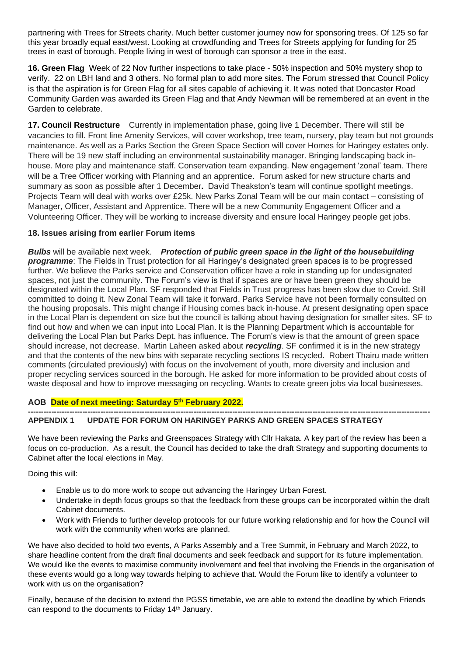partnering with Trees for Streets charity. Much better customer journey now for sponsoring trees. Of 125 so far this year broadly equal east/west. Looking at crowdfunding and Trees for Streets applying for funding for 25 trees in east of borough. People living in west of borough can sponsor a tree in the east.

**16. Green Flag** Week of 22 Nov further inspections to take place - 50% inspection and 50% mystery shop to verify. 22 on LBH land and 3 others. No formal plan to add more sites. The Forum stressed that Council Policy is that the aspiration is for Green Flag for all sites capable of achieving it. It was noted that Doncaster Road Community Garden was awarded its Green Flag and that Andy Newman will be remembered at an event in the Garden to celebrate.

**17. Council Restructure** Currently in implementation phase, going live 1 December. There will still be vacancies to fill. Front line Amenity Services, will cover workshop, tree team, nursery, play team but not grounds maintenance. As well as a Parks Section the Green Space Section will cover Homes for Haringey estates only. There will be 19 new staff including an environmental sustainability manager. Bringing landscaping back inhouse. More play and maintenance staff. Conservation team expanding. New engagement 'zonal' team. There will be a Tree Officer working with Planning and an apprentice.Forum asked for new structure charts and summary as soon as possible after 1 December**.** David Theakston's team will continue spotlight meetings. Projects Team will deal with works over £25k. New Parks Zonal Team will be our main contact – consisting of Manager, Officer, Assistant and Apprentice. There will be a new Community Engagement Officer and a Volunteering Officer. They will be working to increase diversity and ensure local Haringey people get jobs.

### **18. Issues arising from earlier Forum items**

*Bulbs* will be available next week. *Protection of public green space in the light of the housebuilding programme*: The Fields in Trust protection for all Haringey's designated green spaces is to be progressed further. We believe the Parks service and Conservation officer have a role in standing up for undesignated spaces, not just the community. The Forum's view is that if spaces are or have been green they should be designated within the Local Plan. SF responded that Fields in Trust progress has been slow due to Covid. Still committed to doing it. New Zonal Team will take it forward. Parks Service have not been formally consulted on the housing proposals. This might change if Housing comes back in-house. At present designating open space in the Local Plan is dependent on size but the council is talking about having designation for smaller sites. SF to find out how and when we can input into Local Plan. It is the Planning Department which is accountable for delivering the Local Plan but Parks Dept. has influence. The Forum's view is that the amount of green space should increase, not decrease. Martin Laheen asked about *recycling*. SF confirmed it is in the new strategy and that the contents of the new bins with separate recycling sections IS recycled. Robert Thairu made written comments (circulated previously) with focus on the involvement of youth, more diversity and inclusion and proper recycling services sourced in the borough. He asked for more information to be provided about costs of waste disposal and how to improve messaging on recycling. Wants to create green jobs via local businesses.

#### **AOB Date of next meeting: Saturday 5 th February 2022.**

#### **----------------------------------------------------------------------------------------------------------------------------------------------------------- APPENDIX 1 UPDATE FOR FORUM ON HARINGEY PARKS AND GREEN SPACES STRATEGY**

We have been reviewing the Parks and Greenspaces Strategy with Cllr Hakata. A key part of the review has been a focus on co-production. As a result, the Council has decided to take the draft Strategy and supporting documents to Cabinet after the local elections in May.

Doing this will:

- Enable us to do more work to scope out advancing the Haringey Urban Forest.
- Undertake in depth focus groups so that the feedback from these groups can be incorporated within the draft Cabinet documents.
- Work with Friends to further develop protocols for our future working relationship and for how the Council will work with the community when works are planned.

We have also decided to hold two events, A Parks Assembly and a Tree Summit, in February and March 2022, to share headline content from the draft final documents and seek feedback and support for its future implementation. We would like the events to maximise community involvement and feel that involving the Friends in the organisation of these events would go a long way towards helping to achieve that. Would the Forum like to identify a volunteer to work with us on the organisation?

Finally, because of the decision to extend the PGSS timetable, we are able to extend the deadline by which Friends can respond to the documents to Friday 14th January.